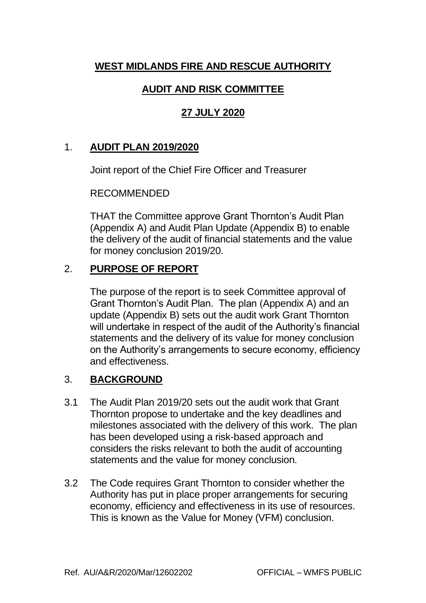# **WEST MIDLANDS FIRE AND RESCUE AUTHORITY**

### **AUDIT AND RISK COMMITTEE**

## **27 JULY 2020**

### 1. **AUDIT PLAN 2019/2020**

Joint report of the Chief Fire Officer and Treasurer

#### RECOMMENDED

THAT the Committee approve Grant Thornton's Audit Plan (Appendix A) and Audit Plan Update (Appendix B) to enable the delivery of the audit of financial statements and the value for money conclusion 2019/20.

### 2. **PURPOSE OF REPORT**

The purpose of the report is to seek Committee approval of Grant Thornton's Audit Plan. The plan (Appendix A) and an update (Appendix B) sets out the audit work Grant Thornton will undertake in respect of the audit of the Authority's financial statements and the delivery of its value for money conclusion on the Authority's arrangements to secure economy, efficiency and effectiveness.

### 3. **BACKGROUND**

- 3.1 The Audit Plan 2019/20 sets out the audit work that Grant Thornton propose to undertake and the key deadlines and milestones associated with the delivery of this work. The plan has been developed using a risk-based approach and considers the risks relevant to both the audit of accounting statements and the value for money conclusion.
- 3.2 The Code requires Grant Thornton to consider whether the Authority has put in place proper arrangements for securing economy, efficiency and effectiveness in its use of resources. This is known as the Value for Money (VFM) conclusion.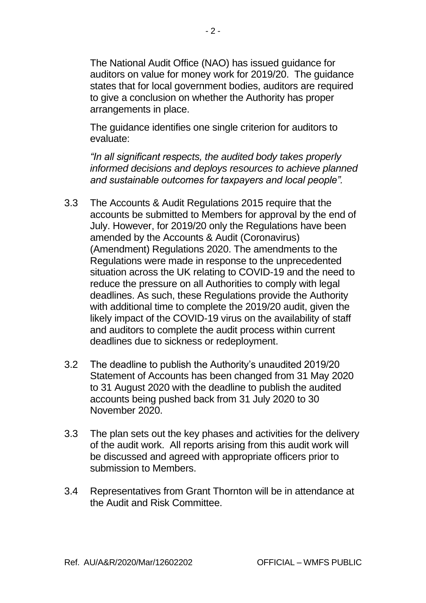The National Audit Office (NAO) has issued guidance for auditors on value for money work for 2019/20. The guidance states that for local government bodies, auditors are required to give a conclusion on whether the Authority has proper arrangements in place.

The guidance identifies one single criterion for auditors to evaluate:

*"In all significant respects, the audited body takes properly informed decisions and deploys resources to achieve planned and sustainable outcomes for taxpayers and local people".*

- 3.3 The Accounts & Audit Regulations 2015 require that the accounts be submitted to Members for approval by the end of July. However, for 2019/20 only the Regulations have been amended by the Accounts & Audit (Coronavirus) (Amendment) Regulations 2020. The amendments to the Regulations were made in response to the unprecedented situation across the UK relating to COVID-19 and the need to reduce the pressure on all Authorities to comply with legal deadlines. As such, these Regulations provide the Authority with additional time to complete the 2019/20 audit, given the likely impact of the COVID-19 virus on the availability of staff and auditors to complete the audit process within current deadlines due to sickness or redeployment.
- 3.2 The deadline to publish the Authority's unaudited 2019/20 Statement of Accounts has been changed from 31 May 2020 to 31 August 2020 with the deadline to publish the audited accounts being pushed back from 31 July 2020 to 30 November 2020.
- 3.3 The plan sets out the key phases and activities for the delivery of the audit work. All reports arising from this audit work will be discussed and agreed with appropriate officers prior to submission to Members.
- 3.4 Representatives from Grant Thornton will be in attendance at the Audit and Risk Committee.